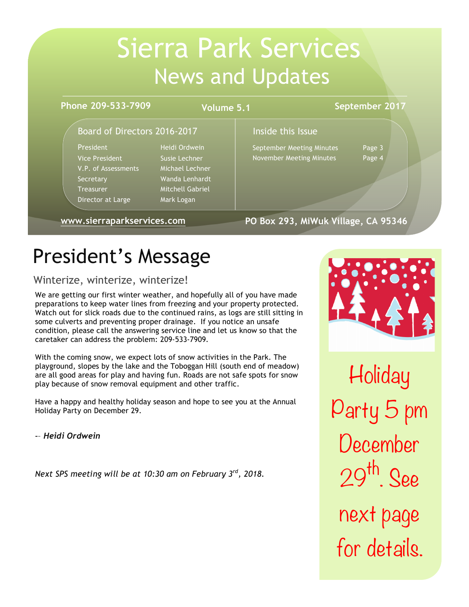# Sierra Park Services News and Updates

#### **Phone 209-533-7909**

**Volume 5.1**

#### **September 2017**

### Board of Directors 2016-2017 The linside this Issue

President Heidi Ordwein Vice President Susie Lechner V.P. of Assessments Michael Lechner Secretary Wanda Lenhardt Treasurer Mitchell Gabriel Director at Large Mark Logan

September Meeting Minutes Page 3 November Meeting Minutes Page 4

**www.sierraparkservices.com**

**PO Box 293, MiWuk Village, CA 95346**

# President's Message

# Winterize, winterize, winterize!

We are getting our first winter weather, and hopefully all of you have made preparations to keep water lines from freezing and your property protected. Watch out for slick roads due to the continued rains, as logs are still sitting in some culverts and preventing proper drainage. If you notice an unsafe condition, please call the answering service line and let us know so that the caretaker can address the problem: 209-533-7909.

With the coming snow, we expect lots of snow activities in the Park. The playground, slopes by the lake and the Toboggan Hill (south end of meadow) are all good areas for play and having fun. Roads are not safe spots for snow play because of snow removal equipment and other traffic.

Have a happy and healthy holiday season and hope to see you at the Annual Holiday Party on December 29.

-– *Heidi Ordwein*

*Next SPS meeting will be at 10:30 am on February 3rd, 2018.*



**Holiday** Party 5 pm December <sup>29</sup>th. See next page for details.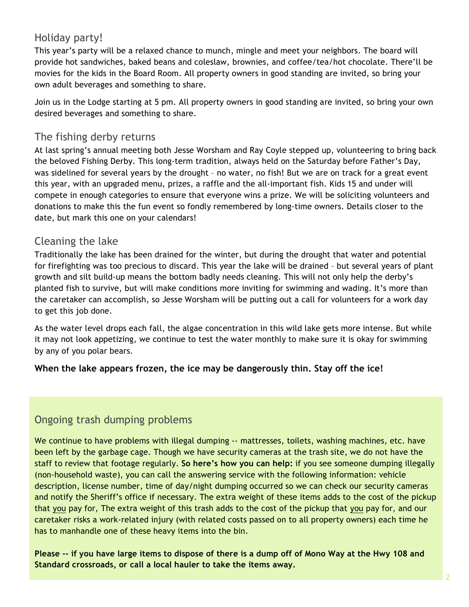# Holiday party!

This year's party will be a relaxed chance to munch, mingle and meet your neighbors. The board will provide hot sandwiches, baked beans and coleslaw, brownies, and coffee/tea/hot chocolate. There'll be movies for the kids in the Board Room. All property owners in good standing are invited, so bring your own adult beverages and something to share.

Join us in the Lodge starting at 5 pm. All property owners in good standing are invited, so bring your own desired beverages and something to share.

### The fishing derby returns

At last spring's annual meeting both Jesse Worsham and Ray Coyle stepped up, volunteering to bring back the beloved Fishing Derby. This long-term tradition, always held on the Saturday before Father's Day, was sidelined for several years by the drought – no water, no fish! But we are on track for a great event this year, with an upgraded menu, prizes, a raffle and the all-important fish. Kids 15 and under will compete in enough categories to ensure that everyone wins a prize. We will be soliciting volunteers and donations to make this the fun event so fondly remembered by long-time owners. Details closer to the date, but mark this one on your calendars!

### Cleaning the lake

Traditionally the lake has been drained for the winter, but during the drought that water and potential for firefighting was too precious to discard. This year the lake will be drained – but several years of plant growth and silt build-up means the bottom badly needs cleaning. This will not only help the derby's planted fish to survive, but will make conditions more inviting for swimming and wading. It's more than the caretaker can accomplish, so Jesse Worsham will be putting out a call for volunteers for a work day to get this job done.

As the water level drops each fall, the algae concentration in this wild lake gets more intense. But while it may not look appetizing, we continue to test the water monthly to make sure it is okay for swimming by any of you polar bears.

#### **When the lake appears frozen, the ice may be dangerously thin. Stay off the ice!**

# Ongoing trash dumping problems

We continue to have problems with illegal dumping -- mattresses, toilets, washing machines, etc. have been left by the garbage cage. Though we have security cameras at the trash site, we do not have the staff to review that footage regularly. **So here's how you can help:** if you see someone dumping illegally (non-household waste), you can call the answering service with the following information: vehicle description, license number, time of day/night dumping occurred so we can check our security cameras and notify the Sheriff's office if necessary. The extra weight of these items adds to the cost of the pickup that you pay for, The extra weight of this trash adds to the cost of the pickup that you pay for, and our caretaker risks a work-related injury (with related costs passed on to all property owners) each time he has to manhandle one of these heavy items into the bin.

**Please -- if you have large items to dispose of there is a dump off of Mono Way at the Hwy 108 and Standard crossroads, or call a local hauler to take the items away.**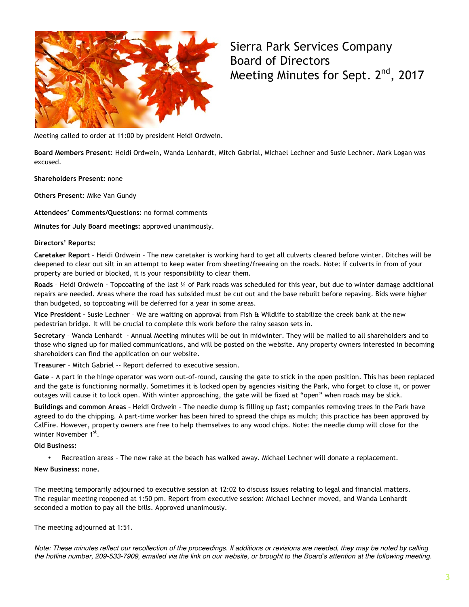

Sierra Park Services Company Board of Directors Meeting Minutes for Sept. 2<sup>nd</sup>, 2017

Meeting called to order at 11:00 by president Heidi Ordwein.

**Board Members Present**: Heidi Ordwein, Wanda Lenhardt, Mitch Gabrial, Michael Lechner and Susie Lechner. Mark Logan was excused.

**Shareholders Present:** none

**Others Present**: Mike Van Gundy

**Attendees' Comments/Questions**: no formal comments

**Minutes for July Board meetings:** approved unanimously.

#### **Directors' Reports:**

**Caretaker Report** – Heidi Ordwein – The new caretaker is working hard to get all culverts cleared before winter. Ditches will be deepened to clear out silt in an attempt to keep water from sheeting/freeaing on the roads. Note: if culverts in from of your property are buried or blocked, it is your responsibility to clear them.

**Roads** – Heidi Ordwein - Topcoating of the last ¼ of Park roads was scheduled for this year, but due to winter damage additional repairs are needed. Areas where the road has subsided must be cut out and the base rebuilt before repaving. Bids were higher than budgeted, so topcoating will be deferred for a year in some areas.

**Vice President –** Susie Lechner – We are waiting on approval from Fish & Wildlife to stabilize the creek bank at the new pedestrian bridge. It will be crucial to complete this work before the rainy season sets in.

**Secretary** – Wanda Lenhardt - Annual Meeting minutes will be out in midwinter. They will be mailed to all shareholders and to those who signed up for mailed communications, and will be posted on the website. Any property owners interested in becoming shareholders can find the application on our website.

**Treasurer** – Mitch Gabriel -- Report deferred to executive session.

**Gate** – A part in the hinge operator was worn out-of-round, causing the gate to stick in the open position. This has been replaced and the gate is functioning normally. Sometimes it is locked open by agencies visiting the Park, who forget to close it, or power outages will cause it to lock open. With winter approaching, the gate will be fixed at "open" when roads may be slick.

**Buildings and common Areas –** Heidi Ordwein – The needle dump is filling up fast; companies removing trees in the Park have agreed to do the chipping. A part-time worker has been hired to spread the chips as mulch; this practice has been approved by CalFire. However, property owners are free to help themselves to any wood chips. Note: the needle dump will close for the winter November 1st.

**Old Business:**

• Recreation areas – The new rake at the beach has walked away. Michael Lechner will donate a replacement.

#### **New Business:** none**.**

The meeting temporarily adjourned to executive session at 12:02 to discuss issues relating to legal and financial matters. The regular meeting reopened at 1:50 pm. Report from executive session: Michael Lechner moved, and Wanda Lenhardt seconded a motion to pay all the bills. Approved unanimously.

The meeting adjourned at 1:51.

*Note: These minutes reflect our recollection of the proceedings. If additions or revisions are needed, they may be noted by calling the hotline number, 209-533-7909, emailed via the link on our website, or brought to the Board's attention at the following meeting.*